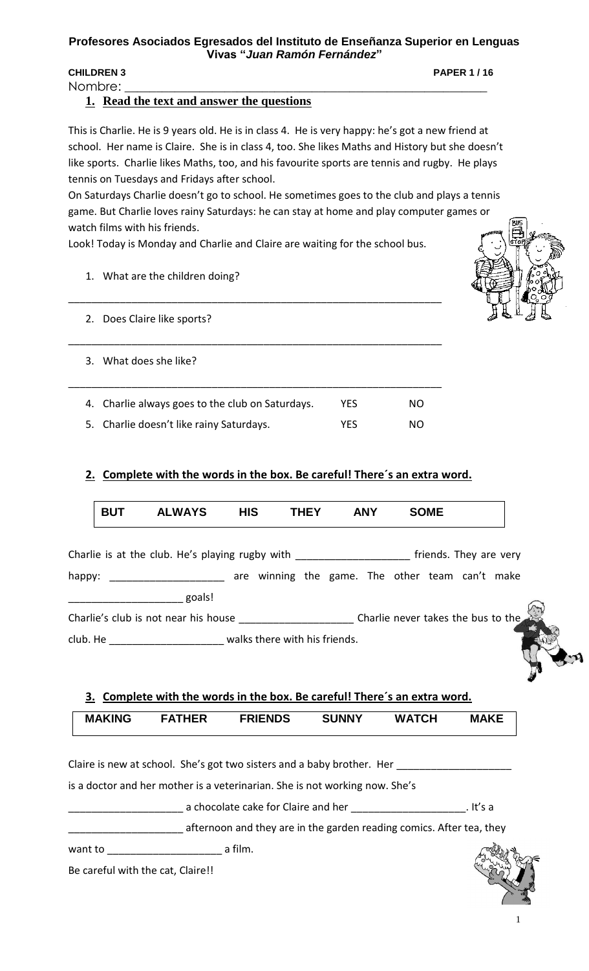#### **Profesores Asociados Egresados del Instituto de Enseñanza Superior en Lenguas Vivas "***Juan Ramón Fernández***"**

### **CHILDREN 3 PAPER 1 / 16**

Nombre:

## **1. Read the text and answer the questions**

This is Charlie. He is 9 years old. He is in class 4. He is very happy: he's got a new friend at school. Her name is Claire. She is in class 4, too. She likes Maths and History but she doesn't like sports. Charlie likes Maths, too, and his favourite sports are tennis and rugby. He plays tennis on Tuesdays and Fridays after school.

On Saturdays Charlie doesn't go to school. He sometimes goes to the club and plays a tennis game. But Charlie loves rainy Saturdays: he can stay at home and play computer games or watch films with his friends.

Look! Today is Monday and Charlie and Claire are waiting for the school bus.

\_\_\_\_\_\_\_\_\_\_\_\_\_\_\_\_\_\_\_\_\_\_\_\_\_\_\_\_\_\_\_\_\_\_\_\_\_\_\_\_\_\_\_\_\_\_\_\_\_\_\_\_\_\_\_\_\_\_\_\_\_\_\_\_\_

\_\_\_\_\_\_\_\_\_\_\_\_\_\_\_\_\_\_\_\_\_\_\_\_\_\_\_\_\_\_\_\_\_\_\_\_\_\_\_\_\_\_\_\_\_\_\_\_\_\_\_\_\_\_\_\_\_\_\_\_\_\_\_\_\_

\_\_\_\_\_\_\_\_\_\_\_\_\_\_\_\_\_\_\_\_\_\_\_\_\_\_\_\_\_\_\_\_\_\_\_\_\_\_\_\_\_\_\_\_\_\_\_\_\_\_\_\_\_\_\_\_\_\_\_\_\_\_\_\_\_

1. What are the children doing?

- 2. Does Claire like sports?
- 3. What does she like?
- 4. Charlie always goes to the club on Saturdays. YES NO
- 5. Charlie doesn't like rainy Saturdays. The MO YES NO

# **2. Complete with the words in the box. Be careful! There´s an extra word.**

|        | <b>BUT</b> | <b>ALWAYS</b>                                                                    | <b>HIS</b> | <b>THEY</b> | <b>ANY</b> | <b>SOME</b> |                        |  |
|--------|------------|----------------------------------------------------------------------------------|------------|-------------|------------|-------------|------------------------|--|
|        |            | Charlie is at the club. He's playing rugby with ________________________________ |            |             |            |             | friends. They are very |  |
| happy: |            | are winning the game. The other team can't make                                  |            |             |            |             |                        |  |
|        |            | goals!                                                                           |            |             |            |             |                        |  |
|        |            | Charlie's club is not near his house Charlie never takes the bus to the          |            |             |            |             |                        |  |
|        |            | club. He example and the second walks there with his friends.                    |            |             |            |             |                        |  |

**3. Complete with the words in the box. Be careful! There´s an extra word.**

| <b>MAKING</b> | <b>FATHER</b> | <b>FRIENDS</b> | <b>SUNNY</b> | <b>WATCH</b> | <b>MAKE</b> |
|---------------|---------------|----------------|--------------|--------------|-------------|
|               |               |                |              |              |             |

Claire is new at school. She's got two sisters and a baby brother. Her \_\_\_\_\_\_\_\_\_\_

is a doctor and her mother is a veterinarian. She is not working now. She's

\_\_\_\_\_\_\_\_\_\_\_\_\_\_\_\_\_\_\_\_ a chocolate cake for Claire and her \_\_\_\_\_\_\_\_\_\_\_\_\_\_\_\_\_\_\_\_. It's a

\_\_\_\_\_\_\_\_\_\_\_\_\_\_\_\_\_\_\_\_ afternoon and they are in the garden reading comics. After tea, they

want to \_\_\_\_\_\_\_\_\_\_\_\_\_\_\_\_\_\_\_\_ a film.

Be careful with the cat, Claire!!